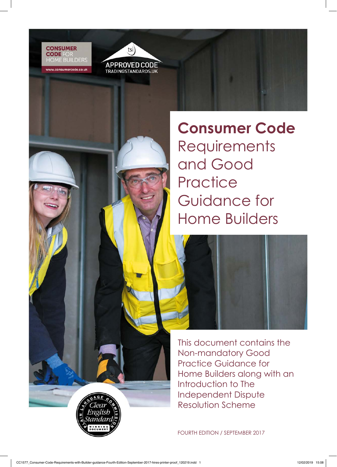v.consumercode.co.uk



**Consumer Code Requirements** and Good **Practice** Guidance for Home Builders



This document contains the Non-mandatory Good Practice Guidance for Home Builders along with an Introduction to The Independent Dispute Resolution Scheme

FOURTH EDITION / SEPTEMBER 2017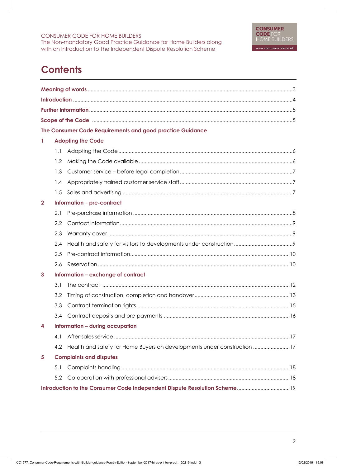# **Contents**

|                                         |     | The Consumer Code Requirements and good practice Guidance               |  |
|-----------------------------------------|-----|-------------------------------------------------------------------------|--|
| $\mathbf{1}$                            |     | <b>Adopting the Code</b>                                                |  |
|                                         | 1.1 |                                                                         |  |
|                                         | 1.2 |                                                                         |  |
|                                         | 1.3 |                                                                         |  |
|                                         | 1.4 |                                                                         |  |
|                                         | 1.5 |                                                                         |  |
| $\mathbf{2}$                            |     | Information - pre-contract                                              |  |
|                                         | 2.1 |                                                                         |  |
|                                         | 2.2 |                                                                         |  |
|                                         | 2.3 |                                                                         |  |
|                                         | 2.4 |                                                                         |  |
|                                         | 2.5 |                                                                         |  |
|                                         | 2.6 |                                                                         |  |
| Information - exchange of contract<br>3 |     |                                                                         |  |
|                                         | 3.1 |                                                                         |  |
|                                         | 3.2 |                                                                         |  |
|                                         | 3.3 |                                                                         |  |
|                                         | 3.4 |                                                                         |  |
| Information - during occupation<br>4    |     |                                                                         |  |
|                                         | 4.1 |                                                                         |  |
|                                         | 4.2 | Health and safety for Home Buyers on developments under construction 17 |  |
| 5                                       |     | <b>Complaints and disputes</b>                                          |  |
|                                         | 5.1 |                                                                         |  |
|                                         | 5.2 |                                                                         |  |
|                                         |     |                                                                         |  |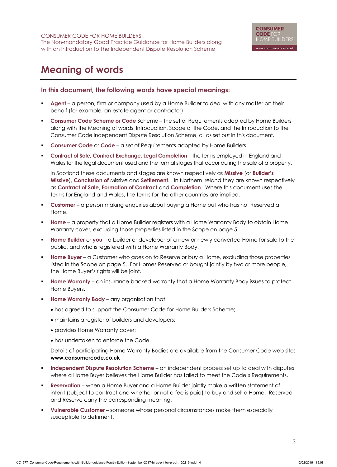# **Meaning of words**

### **In this document, the following words have special meanings:**

- § **Agent** a person, firm or company used by a Home Builder to deal with any matter on their behalf (for example, an estate agent or contractor).
- **Consumer Code Scheme or Code** Scheme the set of Requirements adopted by Home Builders along with the Meaning of words, Introduction, Scope of the Code, and the Introduction to the Consumer Code Independent Dispute Resolution Scheme, all as set out in this document.
- **Consumer Code** or **Code** a set of Requirements adopted by Home Builders.
- § **Contract of Sale, Contract Exchange, Legal Completion** the terms employed in England and Wales for the legal document used and the formal stages that occur during the sale of a property.

In Scotland these documents and stages are known respectively as **Missive** (or **Builder's Missive**), **Conclusion of** Missive and **Settlement**. In Northern Ireland they are known respectively as **Contract of Sale**, **Formation of Contract** and **Completion**. Where this document uses the terms for England and Wales, the terms for the other countries are implied.

- **Customer** a person making enquiries about buying a Home but who has not Reserved a Home.
- § **Home** a property that a Home Builder registers with a Home Warranty Body to obtain Home Warranty cover, excluding those properties listed in the Scope on page 5.
- § **Home Builder** or **you** a builder or developer of a new or newly converted Home for sale to the public, and who is registered with a Home Warranty Body.
- § **Home Buyer** a Customer who goes on to Reserve or buy a Home, excluding those properties listed in the Scope on page 5. For Homes Reserved or bought jointly by two or more people, the Home Buyer's rights will be joint.
- **Home Warranty** an insurance-backed warranty that a Home Warranty Body issues to protect Home Buyers.
- **Home Warranty Body** any organisation that:
	- has agreed to support the Consumer Code for Home Builders Scheme;
	- maintains a register of builders and developers;
	- provides Home Warranty cover;
	- has undertaken to enforce the Code.

Details of participating Home Warranty Bodies are available from the Consumer Code web site: **www.consumercode.co.uk**

- § **Independent Dispute Resolution Scheme** an independent process set up to deal with disputes where a Home Buyer believes the Home Builder has failed to meet the Code's Requirements.
- § **Reservation** when a Home Buyer and a Home Builder jointly make a written statement of intent (subject to contract and whether or not a fee is paid) to buy and sell a Home. Reserved and Reserve carry the corresponding meaning.
- § **Vulnerable Customer** someone whose personal circumstances make them especially susceptible to detriment.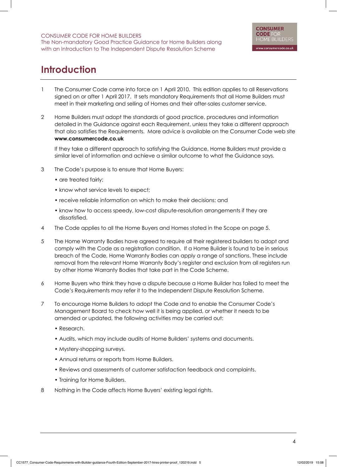# **Introduction**

- 1 The Consumer Code came into force on 1 April 2010. This edition applies to all Reservations signed on or after 1 April 2017. It sets mandatory Requirements that all Home Builders must meet in their marketing and selling of Homes and their after-sales customer service.
- 2 Home Builders must adopt the standards of good practice, procedures and information detailed in the Guidance against each Requirement, unless they take a different approach that also satisfies the Requirements. More advice is available on the Consumer Code web site **www.consumercode.co.uk**

If they take a different approach to satisfying the Guidance, Home Builders must provide a similar level of information and achieve a similar outcome to what the Guidance says.

- 3 The Code's purpose is to ensure that Home Buyers:
	- are treated fairly;
	- know what service levels to expect;
	- receive reliable information on which to make their decisions; and
	- know how to access speedy, low-cost dispute-resolution arrangements if they are dissatisfied.
- 4 The Code applies to all the Home Buyers and Homes stated in the Scope on page 5.
- 5 The Home Warranty Bodies have agreed to require all their registered builders to adopt and comply with the Code as a registration condition. If a Home Builder is found to be in serious breach of the Code, Home Warranty Bodies can apply a range of sanctions. These include removal from the relevant Home Warranty Body's register and exclusion from all registers run by other Home Warranty Bodies that take part in the Code Scheme.
- 6 Home Buyers who think they have a dispute because a Home Builder has failed to meet the Code's Requirements may refer it to the Independent Dispute Resolution Scheme.
- 7 To encourage Home Builders to adopt the Code and to enable the Consumer Code's Management Board to check how well it is being applied, or whether it needs to be amended or updated, the following activities may be carried out:
	- Research.
	- Audits, which may include audits of Home Builders' systems and documents.
	- Mystery-shopping surveys.
	- Annual returns or reports from Home Builders.
	- Reviews and assessments of customer satisfaction feedback and complaints.
	- Training for Home Builders.
- 8 Nothing in the Code affects Home Buyers' existing legal rights.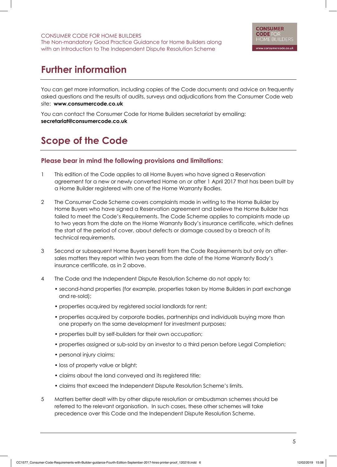# **Further information**

You can get more information, including copies of the Code documents and advice on frequently asked questions and the results of audits, surveys and adjudications from the Consumer Code web site: **www.consumercode.co.uk**

You can contact the Consumer Code for Home Builders secretariat by emailing: **secretariat@consumercode.co.uk**

# **Scope of the Code**

### **Please bear in mind the following provisions and limitations:**

- 1 This edition of the Code applies to all Home Buyers who have signed a Reservation agreement for a new or newly converted Home on or after 1 April 2017 that has been built by a Home Builder registered with one of the Home Warranty Bodies.
- 2 The Consumer Code Scheme covers complaints made in writing to the Home Builder by Home Buyers who have signed a Reservation agreement and believe the Home Builder has failed to meet the Code's Requirements. The Code Scheme applies to complaints made up to two years from the date on the Home Warranty Body's insurance certificate, which defines the start of the period of cover, about defects or damage caused by a breach of its technical requirements.
- 3 Second or subsequent Home Buyers benefit from the Code Requirements but only on aftersales matters they report within two years from the date of the Home Warranty Body's insurance certificate, as in 2 above.
- 4 The Code and the Independent Dispute Resolution Scheme do not apply to:
	- second-hand properties (for example, properties taken by Home Builders in part exchange and re-sold);
	- properties acquired by registered social landlords for rent;
	- properties acquired by corporate bodies, partnerships and individuals buying more than one property on the same development for investment purposes;
	- properties built by self-builders for their own occupation;
	- properties assigned or sub-sold by an investor to a third person before Legal Completion;
	- personal injury claims;
	- loss of property value or blight;
	- claims about the land conveyed and its registered title;
	- claims that exceed the Independent Dispute Resolution Scheme's limits.
- 5 Matters better dealt with by other dispute resolution or ombudsman schemes should be referred to the relevant organisation. In such cases, these other schemes will take precedence over this Code and the Independent Dispute Resolution Scheme.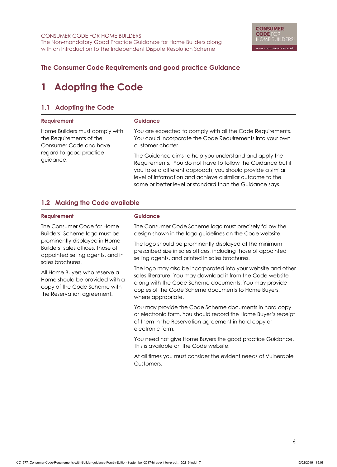# **The Consumer Code Requirements and good practice Guidance**

# **1 Adopting the Code**

## **1.1 Adopting the Code**

| <b>Requirement</b>                                                                                                          | <b>Guidance</b>                                                                                                                                                                                                                                                                                                                                                                                                                                               |
|-----------------------------------------------------------------------------------------------------------------------------|---------------------------------------------------------------------------------------------------------------------------------------------------------------------------------------------------------------------------------------------------------------------------------------------------------------------------------------------------------------------------------------------------------------------------------------------------------------|
| Home Builders must comply with<br>the Requirements of the<br>Consumer Code and have<br>regard to good practice<br>guidance. | You are expected to comply with all the Code Requirements.<br>You could incorporate the Code Requirements into your own<br>customer charter.<br>The Guidance aims to help you understand and apply the<br>Requirements. You do not have to follow the Guidance but if<br>you take a different approach, you should provide a similar<br>level of information and achieve a similar outcome to the<br>same or better level or standard than the Guidance says. |

## **1.2 Making the Code available**

| <b>Guidance</b>                                                                                                                                                                                                                                                    |
|--------------------------------------------------------------------------------------------------------------------------------------------------------------------------------------------------------------------------------------------------------------------|
| The Consumer Code Scheme logo must precisely follow the<br>design shown in the logo guidelines on the Code website.                                                                                                                                                |
| The logo should be prominently displayed at the minimum<br>prescribed size in sales offices, including those of appointed<br>selling agents, and printed in sales brochures.                                                                                       |
| The logo may also be incorporated into your website and other<br>sales literature. You may download it from the Code website<br>along with the Code Scheme documents. You may provide<br>copies of the Code Scheme documents to Home Buyers,<br>where appropriate. |
| You may provide the Code Scheme documents in hard copy<br>or electronic form. You should record the Home Buyer's receipt<br>of them in the Reservation agreement in hard copy or<br>electronic form.                                                               |
| You need not give Home Buyers the good practice Guidance.<br>This is available on the Code website.                                                                                                                                                                |
| At all times you must consider the evident needs of Vulnerable<br>Customers.                                                                                                                                                                                       |
|                                                                                                                                                                                                                                                                    |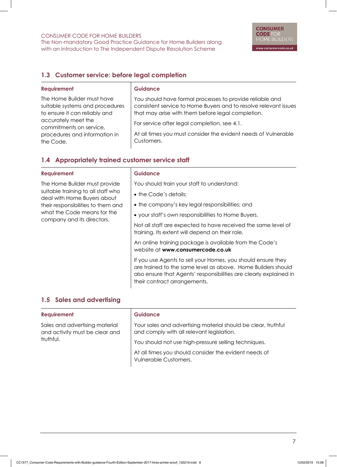The Non-mandatory Good Practice Guidance for Home Builders along with an Introduction to The Independent Dispute Resolution Scheme

## **1.3 Customer service: before legal completion**

| <b>Requirement</b>                                                                                                                                                                             | <b>Guidance</b>                                                                                                                                                                                                                                                                                                   |
|------------------------------------------------------------------------------------------------------------------------------------------------------------------------------------------------|-------------------------------------------------------------------------------------------------------------------------------------------------------------------------------------------------------------------------------------------------------------------------------------------------------------------|
| The Home Builder must have<br>suitable systems and procedures<br>to ensure it can reliably and<br>accurately meet the<br>commitments on service,<br>procedures and information in<br>the Code. | You should have formal processes to provide reliable and<br>consistent service to Home Buyers and to resolve relevant issues<br>that may arise with them before legal completion.<br>For service after legal completion, see 4.1.<br>At all times you must consider the evident needs of Vulnerable<br>Customers. |
|                                                                                                                                                                                                |                                                                                                                                                                                                                                                                                                                   |

## **1.4 Appropriately trained customer service staff**

| <b>Requirement</b>                                                | <b>Guidance</b>                                                                                                                                                                                                                    |
|-------------------------------------------------------------------|------------------------------------------------------------------------------------------------------------------------------------------------------------------------------------------------------------------------------------|
| The Home Builder must provide                                     | You should train your staff to understand:                                                                                                                                                                                         |
| suitable training to all staff who<br>deal with Home Buyers about | • the Code's details;                                                                                                                                                                                                              |
| their responsibilities to them and                                | • the company's key legal responsibilities; and                                                                                                                                                                                    |
| what the Code means for the<br>company and its directors.         | • your staff's own responsibilities to Home Buyers.                                                                                                                                                                                |
|                                                                   | Not all staff are expected to have received the same level of<br>training. Its extent will depend on their role.                                                                                                                   |
|                                                                   | An online training package is available from the Code's<br>website at www.consumercode.co.uk                                                                                                                                       |
|                                                                   | If you use Agents to sell your Homes, you should ensure they<br>are trained to the same level as above. Home Builders should<br>also ensure that Agents' responsibilities are clearly explained in<br>their contract arrangements. |

#### **1.5 Sales and advertising**

#### **Requirement**

Sales and advertising material and activity must be clear and truthful.

#### **Guidance**

Your sales and advertising material should be clear, truthful and comply with all relevant legislation.

You should not use high-pressure selling techniques.

At all times you should consider the evident needs of Vulnerable Customers.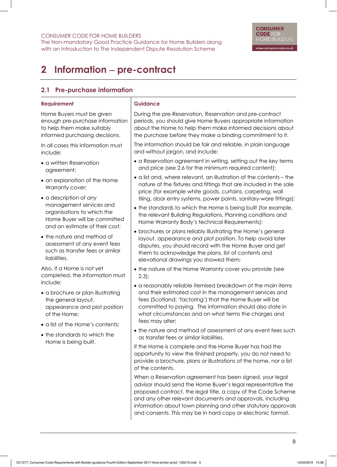The Non-mandatory Good Practice Guidance for Home Builders along with an Introduction to The Independent Dispute Resolution Scheme

# **2 Information** - **pre-contract**

## **2.1 Pre-purchase information**

#### **Requirement**

Home Buyers must be given enough pre-purchase information to help them make suitably informed purchasing decisions.

In all cases this information must include:

- a written Reservation agreement;
- an explanation of the Home Warranty cover;
- a description of any management services and organisations to which the Home Buyer will be committed and an estimate of their cost;
- the nature and method of assessment of any event fees such as transfer fees or similar liabilities.

Also, if a Home is not yet completed, the information must include:

- a brochure or plan illustrating the general layout, appearance and plot position of the Home;
- a list of the Home's contents;
- the standards to which the Home is being built.

## **Guidance**

During the pre-Reservation, Reservation and pre-contract periods, you should give Home Buyers appropriate information about the Home to help them make informed decisions about the purchase before they make a binding commitment to it.

The information should be fair and reliable, in plain language and without jargon, and include:

- a Reservation agreement in writing, setting out the key terms and price (see 2.6 for the minimum required content);
- a list and, where relevant, an illustration of the contents the nature of the fixtures and fittings that are included in the sale price (for example white goods, curtains, carpeting, wall tiling, door entry systems, power points, sanitary-ware fittings);
- the standards to which the Home is being built (for example, the relevant Building Regulations, Planning conditions and Home Warranty Body's technical Requirements);
- brochures or plans reliably illustrating the Home's general layout, appearance and plot position. To help avoid later disputes, you should record with the Home Buyer and get them to acknowledge the plans, list of contents and elevational drawings you showed them;
- the nature of the Home Warranty cover you provide (see 2.3);
- a reasonably reliable itemised breakdown of the main items and their estimated cost in the management services and fees (Scotland: 'factoring') that the Home Buyer will be committed to paying. The information should also state in what circumstances and on what terms the charges and fees may alter;
- the nature and method of assessment of any event fees such as transfer fees or similar liabilities.

If the Home is complete and the Home Buyer has had the opportunity to view the finished property, you do not need to provide a brochure, plans or illustrations of the home, nor a list of the contents.

When a Reservation agreement has been signed, your legal advisor should send the Home Buyer's legal representative the proposed contract, the legal title, a copy of the Code Scheme and any other relevant documents and approvals, including information about town planning and other statutory approvals and consents. This may be in hard copy or electronic format.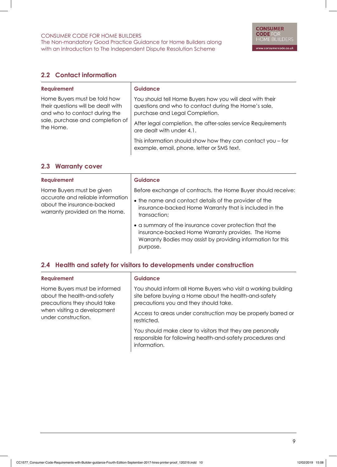## **2.2 Contact information**

| <b>Requirement</b>                                                                                                                                   | <b>Guidance</b>                                                                                                                                                                                                                                 |
|------------------------------------------------------------------------------------------------------------------------------------------------------|-------------------------------------------------------------------------------------------------------------------------------------------------------------------------------------------------------------------------------------------------|
| Home Buyers must be told how<br>their questions will be dealt with<br>and who to contact during the<br>sale, purchase and completion of<br>the Home. | You should tell Home Buyers how you will deal with their<br>questions and who to contact during the Home's sale,<br>purchase and Legal Completion.<br>After legal completion, the after-sales service Requirements<br>are dealt with under 4.1. |
|                                                                                                                                                      | This information should show how they can contact you $-$ for<br>example, email, phone, letter or SMS text.                                                                                                                                     |

## **2.3 Warranty cover**

| <b>Requirement</b>                                                                                | <b>Guidance</b>                                                                                                                                                                         |
|---------------------------------------------------------------------------------------------------|-----------------------------------------------------------------------------------------------------------------------------------------------------------------------------------------|
| Home Buyers must be given                                                                         | Before exchange of contracts, the Home Buyer should receive:                                                                                                                            |
| accurate and reliable information<br>about the insurance-backed<br>warranty provided on the Home. | • the name and contact details of the provider of the<br>insurance-backed Home Warranty that is included in the<br>transaction;                                                         |
|                                                                                                   | • a summary of the insurance cover protection that the<br>insurance-backed Home Warranty provides. The Home<br>Warranty Bodies may assist by providing information for this<br>purpose. |

## **2.4 Health and safety for visitors to developments under construction**

| <b>Requirement</b>           |  |  |
|------------------------------|--|--|
| Home Buyers must be informed |  |  |
| about the health-and-safety  |  |  |
| precautions they should take |  |  |
| when visiting a development  |  |  |

under construction.

#### **Guidance**

You should inform all Home Buyers who visit a working building site before buying a Home about the health-and-safety precautions you and they should take.

Access to areas under construction may be properly barred or restricted.

You should make clear to visitors that they are personally responsible for following health-and-safety procedures and information.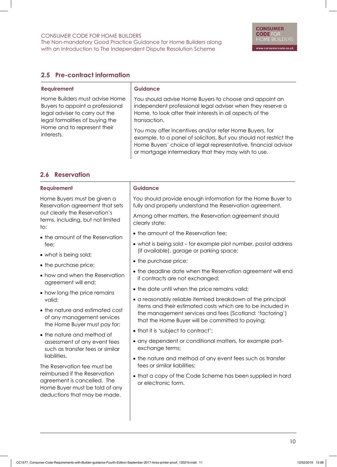The Non-mandatory Good Practice Guidance for Home Builders along with an Introduction to The Independent Dispute Resolution Scheme

# **2.5 Pre-contract information**

| <b>Requirement</b>                                                                                                                                                                   | <b>Guidance</b>                                                                                                                                                                                                                                                                                                                                                                                                                                            |
|--------------------------------------------------------------------------------------------------------------------------------------------------------------------------------------|------------------------------------------------------------------------------------------------------------------------------------------------------------------------------------------------------------------------------------------------------------------------------------------------------------------------------------------------------------------------------------------------------------------------------------------------------------|
| Home Builders must advise Home<br>Buyers to appoint a professional<br>legal adviser to carry out the<br>legal formalities of buying the<br>Home and to represent their<br>interests. | You should advise Home Buyers to choose and appoint an<br>independent professional legal adviser when they reserve a<br>Home, to look after their interests in all aspects of the<br>transaction.<br>You may offer incentives and/or refer Home Buyers, for<br>example, to a panel of solicitors. But you should not restrict the<br>Home Buyers' choice of legal representative, financial advisor<br>or mortgage intermediary that they may wish to use. |

### **2.6 Reservation**

| <b>Requirement</b>                                                                                                             | <b>Guidance</b>                                                                                                            |
|--------------------------------------------------------------------------------------------------------------------------------|----------------------------------------------------------------------------------------------------------------------------|
| Home Buyers must be given a<br>Reservation agreement that sets                                                                 | You should provide enough information for the Home Buyer to<br>fully and properly understand the Reservation agreement.    |
| out clearly the Reservation's<br>terms, including, but not limited<br>to:                                                      | Among other matters, the Reservation agreement should<br>clearly state:                                                    |
| • the amount of the Reservation                                                                                                | • the amount of the Reservation fee;                                                                                       |
| fee;                                                                                                                           | • what is being sold - for example plot number, postal address<br>(if available), garage or parking space;                 |
| • what is being sold;                                                                                                          | • the purchase price;                                                                                                      |
| • the purchase price;                                                                                                          |                                                                                                                            |
| • how and when the Reservation<br>agreement will end;                                                                          | • the deadline date when the Reservation agreement will end<br>if contracts are not exchanged;                             |
| • how long the price remains                                                                                                   | • the date until when the price remains valid;                                                                             |
| valid;                                                                                                                         | • a reasonably reliable itemised breakdown of the principal<br>items and their estimated costs which are to be included in |
| • the nature and estimated cost<br>of any management services<br>the Home Buyer must pay for;                                  | the management services and fees (Scotland: 'factoring')<br>that the Home Buyer will be committed to paying;               |
| • the nature and method of                                                                                                     | • that it is 'subject to contract';                                                                                        |
| assessment of any event fees<br>such as transfer fees or similar                                                               | • any dependent or conditional matters, for example part-<br>exchange terms;                                               |
| liabilities.<br>The Reservation fee must be                                                                                    | • the nature and method of any event fees such as transfer<br>fees or similar liabilities;                                 |
| reimbursed if the Reservation<br>agreement is cancelled. The<br>Home Buyer must be told of any<br>deductions that may be made. | • that a copy of the Code Scheme has been supplied in hard<br>or electronic form.                                          |
|                                                                                                                                |                                                                                                                            |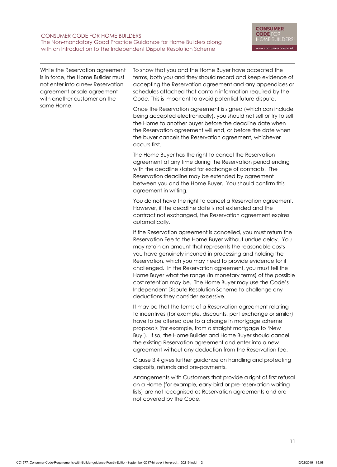While the Reservation agreement is in force, the Home Builder must not enter into a new Reservation agreement or sale agreement with another customer on the same Home.

To show that you and the Home Buyer have accepted the terms, both you and they should record and keep evidence of accepting the Reservation agreement and any appendices or schedules attached that contain information required by the Code. This is important to avoid potential future dispute.

Once the Reservation agreement is signed (which can include being accepted electronically), you should not sell or try to sell the Home to another buyer before the deadline date when the Reservation agreement will end, or before the date when the buyer cancels the Reservation agreement, whichever occurs first.

The Home Buyer has the right to cancel the Reservation agreement at any time during the Reservation period ending with the deadline stated for exchange of contracts. The Reservation deadline may be extended by agreement between you and the Home Buyer. You should confirm this agreement in writing.

You do not have the right to cancel a Reservation agreement. However, if the deadline date is not extended and the contract not exchanged, the Reservation agreement expires automatically.

If the Reservation agreement is cancelled, you must return the Reservation Fee to the Home Buyer without undue delay. You may retain an amount that represents the reasonable costs you have genuinely incurred in processing and holding the Reservation, which you may need to provide evidence for if challenged. In the Reservation agreement, you must tell the Home Buyer what the range (in monetary terms) of the possible cost retention may be. The Home Buyer may use the Code's Independent Dispute Resolution Scheme to challenge any deductions they consider excessive.

It may be that the terms of a Reservation agreement relating to incentives (for example, discounts, part exchange or similar) have to be altered due to a change in mortgage scheme proposals (for example, from a straight mortgage to 'New Buy'). If so, the Home Builder and Home Buyer should cancel the existing Reservation agreement and enter into a new agreement without any deduction from the Reservation fee.

Clause 3.4 gives further guidance on handling and protecting deposits, refunds and pre-payments.

Arrangements with Customers that provide a right of first refusal on a Home (for example, early-bird or pre-reservation waiting lists) are not recognised as Reservation agreements and are not covered by the Code.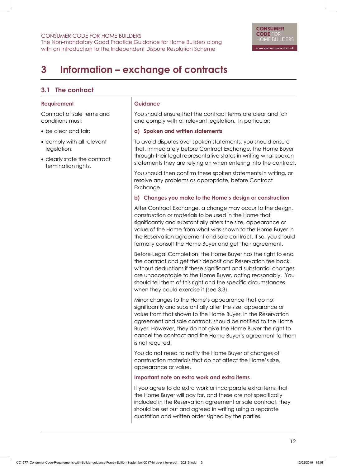The Non-mandatory Good Practice Guidance for Home Builders along with an Introduction to The Independent Dispute Resolution Scheme

# **3 Information – exchange of contracts**

## **3.1 The contract**

#### **Requirement**

Contract of sale terms and conditions must:

- be clear and fair;
- comply with all relevant legislation;
- clearly state the contract termination rights.

#### **Guidance**

You should ensure that the contract terms are clear and fair and comply with all relevant legislation. In particular:

#### **a) Spoken and written statements**

To avoid disputes over spoken statements, you should ensure that, immediately before Contract Exchange, the Home Buyer through their legal representative states in writing what spoken statements they are relying on when entering into the contract.

You should then confirm these spoken statements in writing, or resolve any problems as appropriate, before Contract Exchange.

#### **b) Changes you make to the Home's design or construction**

After Contract Exchange, a change may occur to the design, construction or materials to be used in the Home that significantly and substantially alters the size, appearance or value of the Home from what was shown to the Home Buyer in the Reservation agreement and sale contract. If so, you should formally consult the Home Buyer and get their agreement.

Before Legal Completion, the Home Buyer has the right to end the contract and get their deposit and Reservation fee back without deductions if these significant and substantial changes are unacceptable to the Home Buyer, acting reasonably. You should tell them of this right and the specific circumstances when they could exercise it (see 3.3).

Minor changes to the Home's appearance that do not significantly and substantially alter the size, appearance or value from that shown to the Home Buyer, in the Reservation agreement and sale contract, should be notified to the Home Buyer. However, they do not give the Home Buyer the right to cancel the contract and the Home Buyer's agreement to them is not required.

You do not need to notify the Home Buyer of changes of construction materials that do not affect the Home's size, appearance or value.

#### **Important note on extra work and extra items**

If you agree to do extra work or incorporate extra items that the Home Buyer will pay for, and these are not specifically included in the Reservation agreement or sale contract, they should be set out and agreed in writing using a separate quotation and written order signed by the parties.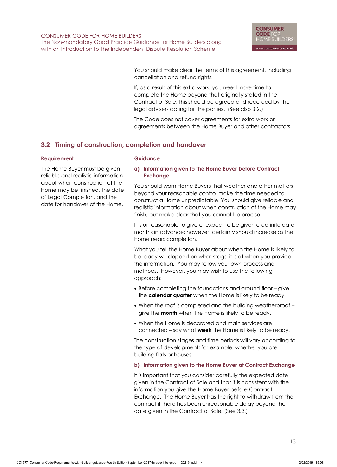You should make clear the terms of this agreement, including cancellation and refund rights.

If, as a result of this extra work, you need more time to complete the Home beyond that originally stated in the Contract of Sale, this should be agreed and recorded by the legal advisers acting for the parties. (See also 3.2.)

The Code does not cover agreements for extra work or agreements between the Home Buyer and other contractors.

# **3.2 Timing of construction, completion and handover**

#### **Requirement**

The Home Buyer must be given reliable and realistic information about when construction of the Home may be finished, the date of Legal Completion, and the date for handover of the Home.

#### **Guidance**

**a) Information given to the Home Buyer before Contract Exchange**

You should warn Home Buyers that weather and other matters beyond your reasonable control make the time needed to construct a Home unpredictable. You should give reliable and realistic information about when construction of the Home may finish, but make clear that you cannot be precise.

It is unreasonable to give or expect to be given a definite date months in advance; however, certainty should increase as the Home nears completion.

What you tell the Home Buyer about when the Home is likely to be ready will depend on what stage it is at when you provide the information. You may follow your own process and methods. However, you may wish to use the following approach:

- Before completing the foundations and ground floor give the **calendar quarter** when the Home is likely to be ready.
- When the roof is completed and the building weatherproof give the **month** when the Home is likely to be ready.
- When the Home is decorated and main services are connected – say what **week** the Home is likely to be ready.

The construction stages and time periods will vary according to the type of development; for example, whether you are building flats or houses.

## **b) Information given to the Home Buyer at Contract Exchange**

It is important that you consider carefully the expected date given in the Contract of Sale and that it is consistent with the information you give the Home Buyer before Contract Exchange. The Home Buyer has the right to withdraw from the contract if there has been unreasonable delay beyond the date given in the Contract of Sale. (See 3.3.)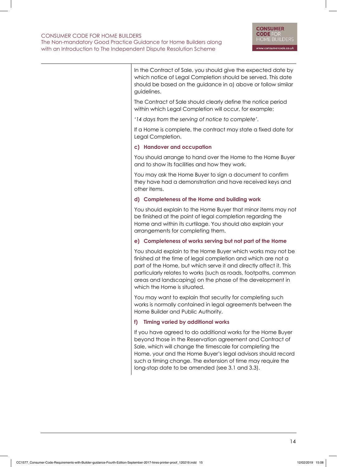| In the Contract of Sale, you should give the expected date by<br>which notice of Legal Completion should be served. This date<br>should be based on the guidance in a) above or follow similar<br>guidelines.                                                                                                                                                           |
|-------------------------------------------------------------------------------------------------------------------------------------------------------------------------------------------------------------------------------------------------------------------------------------------------------------------------------------------------------------------------|
| The Contract of Sale should clearly define the notice period<br>within which Legal Completion will occur, for example:                                                                                                                                                                                                                                                  |
| '14 days from the serving of notice to complete'.                                                                                                                                                                                                                                                                                                                       |
| If a Home is complete, the contract may state a fixed date for<br>Legal Completion.                                                                                                                                                                                                                                                                                     |
| c) Handover and occupation                                                                                                                                                                                                                                                                                                                                              |
| You should arrange to hand over the Home to the Home Buyer<br>and to show its facilities and how they work.                                                                                                                                                                                                                                                             |
| You may ask the Home Buyer to sign a document to confirm<br>they have had a demonstration and have received keys and<br>other items.                                                                                                                                                                                                                                    |
| d) Completeness of the Home and building work                                                                                                                                                                                                                                                                                                                           |
| You should explain to the Home Buyer that minor items may not<br>be finished at the point of legal completion regarding the<br>Home and within its curtilage. You should also explain your<br>arrangements for completing them.                                                                                                                                         |
| e) Completeness of works serving but not part of the Home                                                                                                                                                                                                                                                                                                               |
| You should explain to the Home Buyer which works may not be<br>finished at the time of legal completion and which are not a<br>part of the Home, but which serve it and directly affect it. This<br>particularly relates to works (such as roads, footpaths, common<br>areas and landscaping) on the phase of the development in<br>which the Home is situated.         |
| You may want to explain that security for completing such<br>works is normally contained in legal agreements between the<br>Home Builder and Public Authority.                                                                                                                                                                                                          |
| <b>Timing varied by additional works</b><br>f)                                                                                                                                                                                                                                                                                                                          |
| If you have agreed to do additional works for the Home Buyer<br>beyond those in the Reservation agreement and Contract of<br>Sale, which will change the timescale for completing the<br>Home, your and the Home Buyer's legal advisors should record<br>such a timing change. The extension of time may require the<br>long-stop date to be amended (see 3.1 and 3.3). |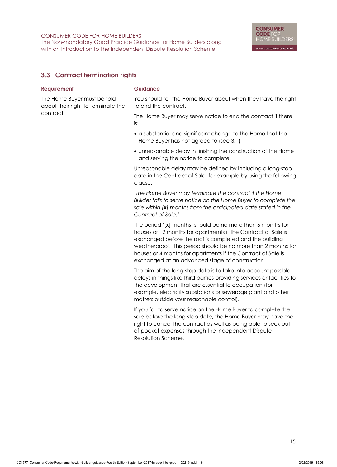# **3.3 Contract termination rights**

| <b>Requirement</b>                                                | <b>Guidance</b>                                                                                                                                                                                                                                                                                                                                                             |
|-------------------------------------------------------------------|-----------------------------------------------------------------------------------------------------------------------------------------------------------------------------------------------------------------------------------------------------------------------------------------------------------------------------------------------------------------------------|
| The Home Buyer must be told<br>about their right to terminate the | You should tell the Home Buyer about when they have the right<br>to end the contract.                                                                                                                                                                                                                                                                                       |
| contract.                                                         | The Home Buyer may serve notice to end the contract if there<br>is:                                                                                                                                                                                                                                                                                                         |
|                                                                   | • a substantial and significant change to the Home that the<br>Home Buyer has not agreed to (see 3.1);                                                                                                                                                                                                                                                                      |
|                                                                   | • unreasonable delay in finishing the construction of the Home<br>and serving the notice to complete.                                                                                                                                                                                                                                                                       |
|                                                                   | Unreasonable delay may be defined by including a long-stop<br>date in the Contract of Sale, for example by using the following<br>clause:                                                                                                                                                                                                                                   |
|                                                                   | 'The Home Buyer may terminate the contract if the Home<br>Builder fails to serve notice on the Home Buyer to complete the<br>sale within [x] months from the anticipated date stated in the<br>Contract of Sale.'                                                                                                                                                           |
|                                                                   | The period '[x] months' should be no more than 6 months for<br>houses or 12 months for apartments if the Contract of Sale is<br>exchanged before the roof is completed and the building<br>weatherproof. This period should be no more than 2 months for<br>houses or 4 months for apartments if the Contract of Sale is<br>exchanged at an advanced stage of construction. |
|                                                                   | The aim of the long-stop date is to take into account possible<br>delays in things like third parties providing services or facilities to<br>the development that are essential to occupation (for<br>example, electricity substations or sewerage plant and other<br>matters outside your reasonable control).                                                             |
|                                                                   | If you fail to serve notice on the Home Buyer to complete the<br>sale before the long-stop date, the Home Buyer may have the<br>right to cancel the contract as well as being able to seek out-<br>of-pocket expenses through the Independent Dispute<br>Resolution Scheme.                                                                                                 |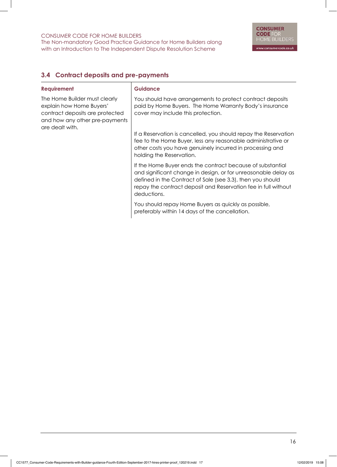The Non-mandatory Good Practice Guidance for Home Builders along with an Introduction to The Independent Dispute Resolution Scheme

# **3.4 Contract deposits and pre-payments**

| <b>Requirement</b>                                                                                                                                | <b>Guidance</b>                                                                                                                                                                                                                                                             |
|---------------------------------------------------------------------------------------------------------------------------------------------------|-----------------------------------------------------------------------------------------------------------------------------------------------------------------------------------------------------------------------------------------------------------------------------|
| The Home Builder must clearly<br>explain how Home Buyers'<br>contract deposits are protected<br>and how any other pre-payments<br>are dealt with. | You should have arrangements to protect contract deposits<br>paid by Home Buyers. The Home Warranty Body's insurance<br>cover may include this protection.                                                                                                                  |
|                                                                                                                                                   | If a Reservation is cancelled, you should repay the Reservation<br>fee to the Home Buyer, less any reasonable administrative or<br>other costs you have genuinely incurred in processing and<br>holding the Reservation.                                                    |
|                                                                                                                                                   | If the Home Buyer ends the contract because of substantial<br>and significant change in design, or for unreasonable delay as<br>defined in the Contract of Sale (see 3.3), then you should<br>repay the contract deposit and Reservation fee in full without<br>deductions. |
|                                                                                                                                                   | You should repay Home Buyers as quickly as possible,<br>preferably within 14 days of the cancellation.                                                                                                                                                                      |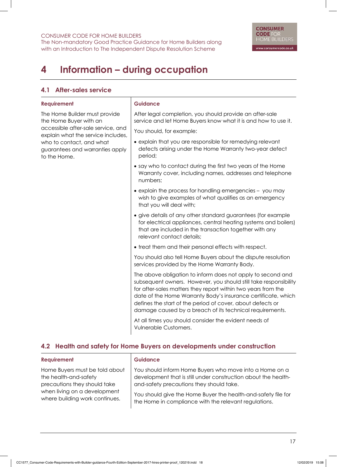The Non-mandatory Good Practice Guidance for Home Builders along with an Introduction to The Independent Dispute Resolution Scheme

# **4 Information – during occupation**

### **4.1 After-sales service**

#### **Requirement**

The Home Builder must provide the Home Buyer with an accessible after-sale service, and explain what the service includes, who to contact, and what guarantees and warranties apply to the Home.

#### **Guidance**

After legal completion, you should provide an after-sale service and let Home Buyers know what it is and how to use it.

You should, for example:

- explain that you are responsible for remedying relevant defects arising under the Home Warranty two-year defect period;
- say who to contact during the first two years of the Home Warranty cover, including names, addresses and telephone numbers;
- explain the process for handling emergencies you may wish to give examples of what qualifies as an emergency that you will deal with;
- give details of any other standard guarantees (for example for electrical appliances, central heating systems and boilers) that are included in the transaction together with any relevant contact details;
- treat them and their personal effects with respect.

You should also tell Home Buyers about the dispute resolution services provided by the Home Warranty Body.

The above obligation to inform does not apply to second and subsequent owners. However, you should still take responsibility for after-sales matters they report within two years from the date of the Home Warranty Body's insurance certificate, which defines the start of the period of cover, about defects or damage caused by a breach of its technical requirements.

At all times you should consider the evident needs of Vulnerable Customers.

# **4.2 Health and safety for Home Buyers on developments under construction**

| Requirement                    | <b>Guidance</b>                                                |
|--------------------------------|----------------------------------------------------------------|
| Home Buyers must be told about | You should inform Home Buyers who move into a Home on a        |
| the health-and-safety          | development that is still under construction about the health- |
| precautions they should take   | and-safety precautions they should take.                       |
| when living on a development   | You should give the Home Buyer the health-and-safety file for  |
| where building work continues. | the Home in compliance with the relevant regulations.          |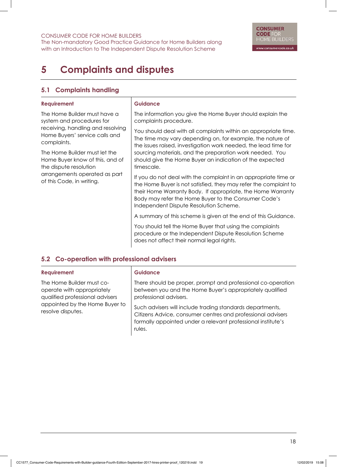The Non-mandatory Good Practice Guidance for Home Builders along with an Introduction to The Independent Dispute Resolution Scheme

# **5 Complaints and disputes**

## **5.1 Complaints handling**

#### **Requirement**

The Home Builder must have a system and procedures for receiving, handling and resolving Home Buyers' service calls and complaints.

The Home Builder must let the Home Buyer know of this, and of the dispute resolution arrangements operated as part of this Code, in writing.

#### **Guidance**

The information you give the Home Buyer should explain the complaints procedure.

You should deal with all complaints within an appropriate time. The time may vary depending on, for example, the nature of the issues raised, investigation work needed, the lead time for sourcing materials, and the preparation work needed. You should give the Home Buyer an indication of the expected timescale.

If you do not deal with the complaint in an appropriate time or the Home Buyer is not satisfied, they may refer the complaint to their Home Warranty Body. If appropriate, the Home Warranty Body may refer the Home Buyer to the Consumer Code's Independent Dispute Resolution Scheme.

A summary of this scheme is given at the end of this Guidance.

You should tell the Home Buyer that using the complaints procedure or the Independent Dispute Resolution Scheme does not affect their normal legal rights.

# **5.2 Co-operation with professional advisers**

| <b>Requirement</b>                                                                                                                                | <b>Guidance</b>                                                                                                                                                                                    |
|---------------------------------------------------------------------------------------------------------------------------------------------------|----------------------------------------------------------------------------------------------------------------------------------------------------------------------------------------------------|
| The Home Builder must co-<br>operate with appropriately<br>qualified professional advisers<br>appointed by the Home Buyer to<br>resolve disputes. | There should be proper, prompt and professional co-operation<br>between you and the Home Buyer's appropriately qualified<br>professional advisers.                                                 |
|                                                                                                                                                   | Such advisers will include trading standards departments,<br>Citizens Advice, consumer centres and professional advisers<br>formally appointed under a relevant professional institute's<br>rules. |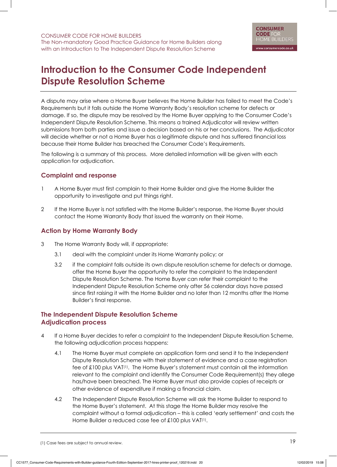# **Introduction to the Consumer Code Independent Dispute Resolution Scheme**

A dispute may arise where a Home Buyer believes the Home Builder has failed to meet the Code's Requirements but it falls outside the Home Warranty Body's resolution scheme for defects or damage. If so, the dispute may be resolved by the Home Buyer applying to the Consumer Code's Independent Dispute Resolution Scheme. This means a trained Adjudicator will review written submissions from both parties and issue a decision based on his or her conclusions. The Adjudicator will decide whether or not a Home Buyer has a legitimate dispute and has suffered financial loss because their Home Builder has breached the Consumer Code's Requirements.

The following is a summary of this process. More detailed information will be given with each application for adjudication.

### **Complaint and response**

- 1 A Home Buyer must first complain to their Home Builder and give the Home Builder the opportunity to investigate and put things right.
- 2 If the Home Buyer is not satisfied with the Home Builder's response, the Home Buyer should contact the Home Warranty Body that issued the warranty on their Home.

## **Action by Home Warranty Body**

- 3 The Home Warranty Body will, if appropriate:
	- 3.1 deal with the complaint under its Home Warranty policy; or
	- 3.2 if the complaint falls outside its own dispute resolution scheme for defects or damage, offer the Home Buyer the opportunity to refer the complaint to the Independent Dispute Resolution Scheme. The Home Buyer can refer their complaint to the Independent Dispute Resolution Scheme only after 56 calendar days have passed since first raising it with the Home Builder and no later than 12 months after the Home Builder's final response.

## **The Independent Dispute Resolution Scheme Adjudication process**

- 4 If a Home Buyer decides to refer a complaint to the Independent Dispute Resolution Scheme, the following adjudication process happens:
	- 4.1 The Home Buyer must complete an application form and send it to the Independent Dispute Resolution Scheme with their statement of evidence and a case registration fee of £100 plus VAT(1). The Home Buyer's statement must contain all the information relevant to the complaint and identify the Consumer Code Requirement(s) they allege has/have been breached. The Home Buyer must also provide copies of receipts or other evidence of expenditure if making a financial claim.
	- 4.2 The Independent Dispute Resolution Scheme will ask the Home Builder to respond to the Home Buyer's statement. At this stage the Home Builder may resolve the complaint without a formal adjudication – this is called 'early settlement' and costs the Home Builder a reduced case fee of £100 plus VAT<sup>(1)</sup>.

(1) Case fees are subject to annual review.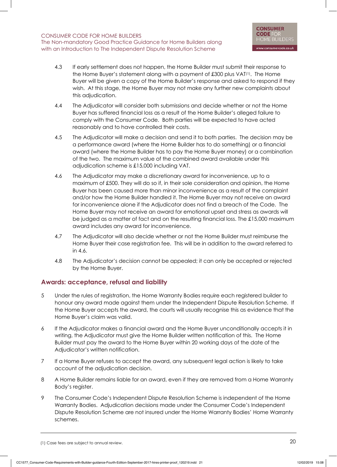The Non-mandatory Good Practice Guidance for Home Builders along with an Introduction to The Independent Dispute Resolution Scheme

- 4.3 If early settlement does not happen, the Home Builder must submit their response to the Home Buyer's statement along with a payment of £300 plus VAT(1). The Home Buyer will be given a copy of the Home Builder's response and asked to respond if they wish. At this stage, the Home Buyer may not make any further new complaints about this adjudication.
- 4.4 The Adjudicator will consider both submissions and decide whether or not the Home Buyer has suffered financial loss as a result of the Home Builder's alleged failure to comply with the Consumer Code. Both parties will be expected to have acted reasonably and to have controlled their costs.
- 4.5 The Adjudicator will make a decision and send it to both parties. The decision may be a performance award (where the Home Builder has to do something) or a financial award (where the Home Builder has to pay the Home Buyer money) or a combination of the two. The maximum value of the combined award available under this adjudication scheme is £15,000 including VAT.
- 4.6 The Adjudicator may make a discretionary award for inconvenience, up to a maximum of £500. They will do so if, in their sole consideration and opinion, the Home Buyer has been caused more than minor inconvenience as a result of the complaint and/or how the Home Builder handled it. The Home Buyer may not receive an award for inconvenience alone if the Adjudicator does not find a breach of the Code. The Home Buyer may not receive an award for emotional upset and stress as awards will be judged as a matter of fact and on the resulting financial loss. The £15,000 maximum award includes any award for inconvenience.
- 4.7 The Adjudicator will also decide whether or not the Home Builder must reimburse the Home Buyer their case registration fee. This will be in addition to the award referred to in 4.6.
- 4.8 The Adjudicator's decision cannot be appealed; it can only be accepted or rejected by the Home Buyer.

## **Awards: acceptance, refusal and liability**

- 5 Under the rules of registration, the Home Warranty Bodies require each registered builder to honour any award made against them under the Independent Dispute Resolution Scheme. If the Home Buyer accepts the award, the courts will usually recognise this as evidence that the Home Buyer's claim was valid.
- 6 If the Adjudicator makes a financial award and the Home Buyer unconditionally accepts it in writing, the Adjudicator must give the Home Builder written notification of this. The Home Builder must pay the award to the Home Buyer within 20 working days of the date of the Adjudicator's written notification.
- 7 If a Home Buyer refuses to accept the award, any subsequent legal action is likely to take account of the adjudication decision.
- 8 A Home Builder remains liable for an award, even if they are removed from a Home Warranty Body's register.
- 9 The Consumer Code's Independent Dispute Resolution Scheme is independent of the Home Warranty Bodies. Adjudication decisions made under the Consumer Code's Independent Dispute Resolution Scheme are not insured under the Home Warranty Bodies' Home Warranty schemes.

<sup>(1)</sup> Case fees are subject to annual review.